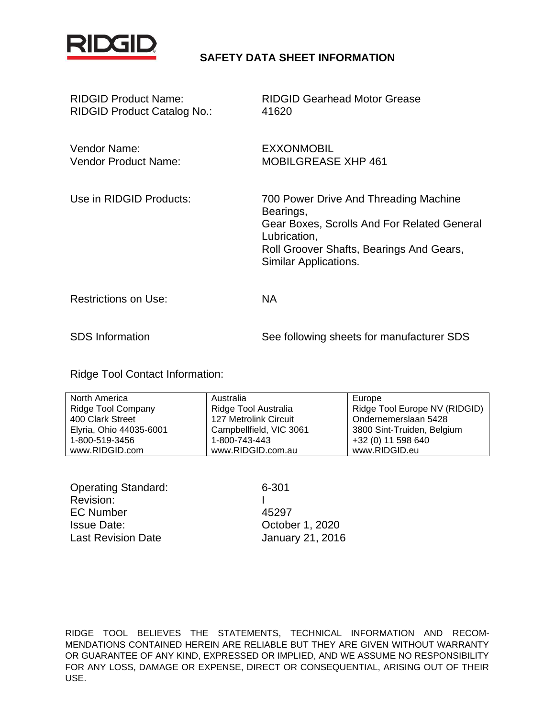

# **SAFETY DATA SHEET INFORMATION**

| <b>RIDGID Product Name:</b><br><b>RIDGID Product Catalog No.:</b> | <b>RIDGID Gearhead Motor Grease</b><br>41620                                                                                                                                           |
|-------------------------------------------------------------------|----------------------------------------------------------------------------------------------------------------------------------------------------------------------------------------|
| Vendor Name:<br><b>Vendor Product Name:</b>                       | <b>EXXONMOBIL</b><br><b>MOBILGREASE XHP 461</b>                                                                                                                                        |
| Use in RIDGID Products:                                           | 700 Power Drive And Threading Machine<br>Bearings,<br>Gear Boxes, Scrolls And For Related General<br>Lubrication,<br>Roll Groover Shafts, Bearings And Gears,<br>Similar Applications. |
| <b>Restrictions on Use:</b>                                       | <b>NA</b>                                                                                                                                                                              |
| <b>SDS</b> Information                                            | See following sheets for manufacturer SDS                                                                                                                                              |

Ridge Tool Contact Information:

| North America             | Australia               | Europe                        |
|---------------------------|-------------------------|-------------------------------|
| <b>Ridge Tool Company</b> | Ridge Tool Australia    | Ridge Tool Europe NV (RIDGID) |
| 400 Clark Street          | 127 Metrolink Circuit   | Ondernemerslaan 5428          |
| Elyria, Ohio 44035-6001   | Campbellfield, VIC 3061 | 3800 Sint-Truiden, Belgium    |
| 1-800-519-3456            | 1-800-743-443           | +32 (0) 11 598 640            |
| www.RIDGID.com            | www.RIDGID.com.au       | www.RIDGID.eu                 |

Operating Standard: 6-301 Revision: I EC Number 45297 Issue Date: October 1, 2020 Last Revision Date January 21, 2016

RIDGE TOOL BELIEVES THE STATEMENTS, TECHNICAL INFORMATION AND RECOM-MENDATIONS CONTAINED HEREIN ARE RELIABLE BUT THEY ARE GIVEN WITHOUT WARRANTY OR GUARANTEE OF ANY KIND, EXPRESSED OR IMPLIED, AND WE ASSUME NO RESPONSIBILITY FOR ANY LOSS, DAMAGE OR EXPENSE, DIRECT OR CONSEQUENTIAL, ARISING OUT OF THEIR USE.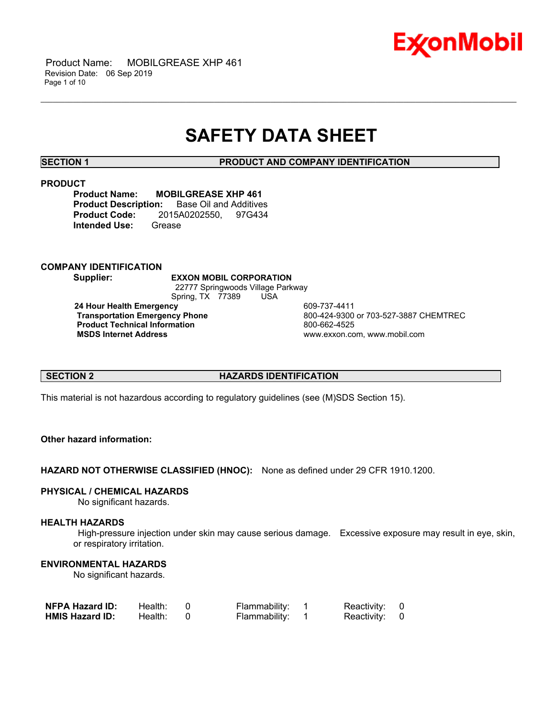

# **SAFETY DATA SHEET**

\_\_\_\_\_\_\_\_\_\_\_\_\_\_\_\_\_\_\_\_\_\_\_\_\_\_\_\_\_\_\_\_\_\_\_\_\_\_\_\_\_\_\_\_\_\_\_\_\_\_\_\_\_\_\_\_\_\_\_\_\_\_\_\_\_\_\_\_\_\_\_\_\_\_\_\_\_\_\_\_\_\_\_\_\_\_\_\_\_\_\_\_\_\_\_\_\_\_\_\_\_\_\_\_\_\_\_\_\_\_\_\_\_\_\_\_\_\_

**SECTION 1 PRODUCT AND COMPANY IDENTIFICATION**

### **PRODUCT**

**Product Name: MOBILGREASE XHP 461 Product Description:** Base Oil and Additives **Product Code:** 2015A0202550, 97G434 **Intended Use:** Grease

# **COMPANY IDENTIFICATION**

**Supplier: EXXON MOBIL CORPORATION** 22777 Springwoods Village Parkway Spring, TX 77389 USA **24 Hour Health Emergency 609-737-4411<br>Transportation Emergency Phone 600-424-9300** 

**Product Technical Information**<br> **MSDS Internet Address**<br> **MSDS Internet Address** 

 **Transportation Emergency Phone** 800-424-9300 or 703-527-3887 CHEMTREC  **MSDS Internet Address** www.exxon.com, www.mobil.com

# **SECTION 2 HAZARDS IDENTIFICATION**

This material is not hazardous according to regulatory guidelines (see (M)SDS Section 15).

# **Other hazard information:**

**HAZARD NOT OTHERWISE CLASSIFIED (HNOC):** None as defined under 29 CFR 1910.1200.

# **PHYSICAL / CHEMICAL HAZARDS**

No significant hazards.

# **HEALTH HAZARDS**

 High-pressure injection under skin may cause serious damage. Excessive exposure may result in eye, skin, or respiratory irritation.

# **ENVIRONMENTAL HAZARDS**

No significant hazards.

| <b>NFPA Hazard ID:</b> | Health: | Flammability: | Reactivity: 0 |  |
|------------------------|---------|---------------|---------------|--|
| <b>HMIS Hazard ID:</b> | Health: | Flammability: | Reactivity: 0 |  |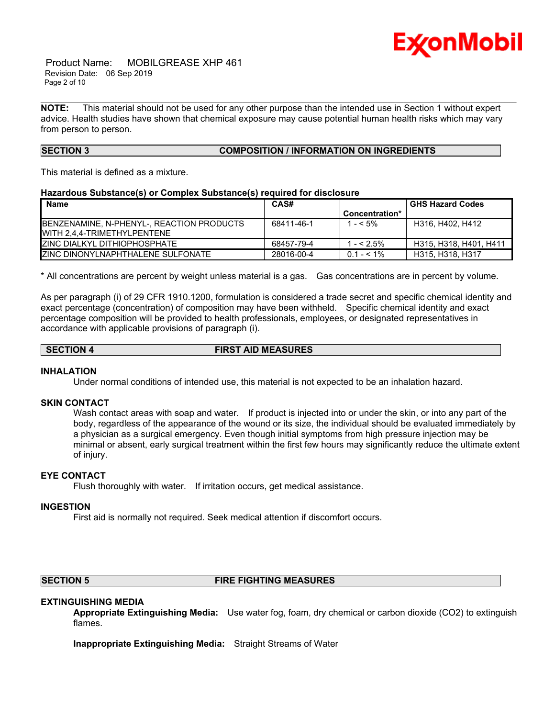

 Product Name: MOBILGREASE XHP 461 Revision Date: 06 Sep 2019 Page 2 of 10

**NOTE:** This material should not be used for any other purpose than the intended use in Section 1 without expert advice. Health studies have shown that chemical exposure may cause potential human health risks which may vary from person to person.

\_\_\_\_\_\_\_\_\_\_\_\_\_\_\_\_\_\_\_\_\_\_\_\_\_\_\_\_\_\_\_\_\_\_\_\_\_\_\_\_\_\_\_\_\_\_\_\_\_\_\_\_\_\_\_\_\_\_\_\_\_\_\_\_\_\_\_\_\_\_\_\_\_\_\_\_\_\_\_\_\_\_\_\_\_\_\_\_\_\_\_\_\_\_\_\_\_\_\_\_\_\_\_\_\_\_\_\_\_\_\_\_\_\_\_\_\_\_

# **SECTION 3 COMPOSITION / INFORMATION ON INGREDIENTS**

This material is defined as a mixture.

### **Hazardous Substance(s) or Complex Substance(s) required for disclosure**

| <b>Name</b>                                                               | CAS#       |                | <b>GHS Hazard Codes</b> |
|---------------------------------------------------------------------------|------------|----------------|-------------------------|
|                                                                           |            | Concentration* |                         |
| BENZENAMINE, N-PHENYL-, REACTION PRODUCTS<br>IWITH 2.4.4-TRIMETHYLPENTENE | 68411-46-1 | l - < 5%       | H316, H402, H412        |
| IZINC DIALKYL DITHIOPHOSPHATE                                             | 68457-79-4 | $- < 2.5\%$    | H315, H318, H401, H411  |
| <b>IZINC DINONYLNAPHTHALENE SULFONATE</b>                                 | 28016-00-4 | $0.1 - 5.1\%$  | H315, H318, H317        |

\* All concentrations are percent by weight unless material is a gas. Gas concentrations are in percent by volume.

As per paragraph (i) of 29 CFR 1910.1200, formulation is considered a trade secret and specific chemical identity and exact percentage (concentration) of composition may have been withheld. Specific chemical identity and exact percentage composition will be provided to health professionals, employees, or designated representatives in accordance with applicable provisions of paragraph (i).

### **SECTION 4 FIRST AID MEASURES**

#### **INHALATION**

Under normal conditions of intended use, this material is not expected to be an inhalation hazard.

#### **SKIN CONTACT**

Wash contact areas with soap and water. If product is injected into or under the skin, or into any part of the body, regardless of the appearance of the wound or its size, the individual should be evaluated immediately by a physician as a surgical emergency. Even though initial symptoms from high pressure injection may be minimal or absent, early surgical treatment within the first few hours may significantly reduce the ultimate extent of injury.

# **EYE CONTACT**

Flush thoroughly with water. If irritation occurs, get medical assistance.

#### **INGESTION**

First aid is normally not required. Seek medical attention if discomfort occurs.

# **SECTION 5 FIRE FIGHTING MEASURES**

# **EXTINGUISHING MEDIA**

**Appropriate Extinguishing Media:** Use water fog, foam, dry chemical or carbon dioxide (CO2) to extinguish flames.

**Inappropriate Extinguishing Media:** Straight Streams of Water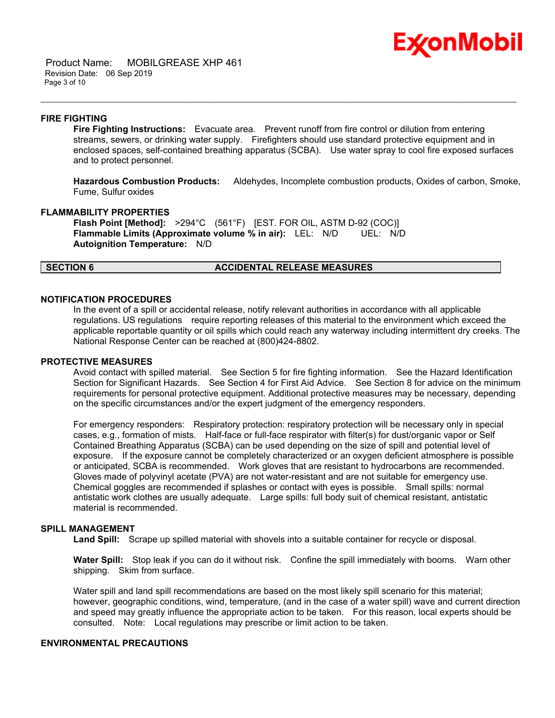

 Product Name: MOBILGREASE XHP 461 Revision Date: 06 Sep 2019 Page 3 of 10

#### **FIRE FIGHTING**

**Fire Fighting Instructions:** Evacuate area. Prevent runoff from fire control or dilution from entering streams, sewers, or drinking water supply. Firefighters should use standard protective equipment and in enclosed spaces, self-contained breathing apparatus (SCBA). Use water spray to cool fire exposed surfaces and to protect personnel.

\_\_\_\_\_\_\_\_\_\_\_\_\_\_\_\_\_\_\_\_\_\_\_\_\_\_\_\_\_\_\_\_\_\_\_\_\_\_\_\_\_\_\_\_\_\_\_\_\_\_\_\_\_\_\_\_\_\_\_\_\_\_\_\_\_\_\_\_\_\_\_\_\_\_\_\_\_\_\_\_\_\_\_\_\_\_\_\_\_\_\_\_\_\_\_\_\_\_\_\_\_\_\_\_\_\_\_\_\_\_\_\_\_\_\_\_\_\_

**Hazardous Combustion Products:** Aldehydes, Incomplete combustion products, Oxides of carbon, Smoke, Fume, Sulfur oxides

#### **FLAMMABILITY PROPERTIES**

**Flash Point [Method]:** >294°C (561°F) [EST. FOR OIL, ASTM D-92 (COC)] **Flammable Limits (Approximate volume % in air):** LEL: N/D UEL: N/D **Autoignition Temperature:** N/D

### **SECTION 6 ACCIDENTAL RELEASE MEASURES**

# **NOTIFICATION PROCEDURES**

In the event of a spill or accidental release, notify relevant authorities in accordance with all applicable regulations. US regulations require reporting releases of this material to the environment which exceed the applicable reportable quantity or oil spills which could reach any waterway including intermittent dry creeks. The National Response Center can be reached at (800)424-8802.

#### **PROTECTIVE MEASURES**

Avoid contact with spilled material. See Section 5 for fire fighting information. See the Hazard Identification Section for Significant Hazards. See Section 4 for First Aid Advice. See Section 8 for advice on the minimum requirements for personal protective equipment. Additional protective measures may be necessary, depending on the specific circumstances and/or the expert judgment of the emergency responders.

For emergency responders: Respiratory protection: respiratory protection will be necessary only in special cases, e.g., formation of mists. Half-face or full-face respirator with filter(s) for dust/organic vapor or Self Contained Breathing Apparatus (SCBA) can be used depending on the size of spill and potential level of exposure. If the exposure cannot be completely characterized or an oxygen deficient atmosphere is possible or anticipated, SCBA is recommended. Work gloves that are resistant to hydrocarbons are recommended. Gloves made of polyvinyl acetate (PVA) are not water-resistant and are not suitable for emergency use. Chemical goggles are recommended if splashes or contact with eyes is possible. Small spills: normal antistatic work clothes are usually adequate. Large spills: full body suit of chemical resistant, antistatic material is recommended.

### **SPILL MANAGEMENT**

**Land Spill:** Scrape up spilled material with shovels into a suitable container for recycle or disposal.

**Water Spill:** Stop leak if you can do it without risk. Confine the spill immediately with booms. Warn other shipping. Skim from surface.

Water spill and land spill recommendations are based on the most likely spill scenario for this material; however, geographic conditions, wind, temperature, (and in the case of a water spill) wave and current direction and speed may greatly influence the appropriate action to be taken. For this reason, local experts should be consulted. Note: Local regulations may prescribe or limit action to be taken.

# **ENVIRONMENTAL PRECAUTIONS**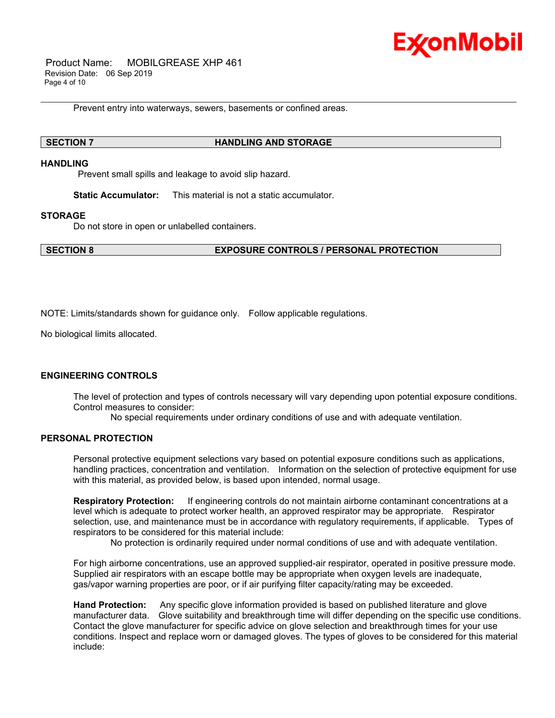

 Product Name: MOBILGREASE XHP 461 Revision Date: 06 Sep 2019 Page 4 of 10

Prevent entry into waterways, sewers, basements or confined areas.

### **SECTION 7 HANDLING AND STORAGE**

#### **HANDLING**

Prevent small spills and leakage to avoid slip hazard.

**Static Accumulator:** This material is not a static accumulator.

### **STORAGE**

Do not store in open or unlabelled containers.

**SECTION 8 EXPOSURE CONTROLS / PERSONAL PROTECTION**

\_\_\_\_\_\_\_\_\_\_\_\_\_\_\_\_\_\_\_\_\_\_\_\_\_\_\_\_\_\_\_\_\_\_\_\_\_\_\_\_\_\_\_\_\_\_\_\_\_\_\_\_\_\_\_\_\_\_\_\_\_\_\_\_\_\_\_\_\_\_\_\_\_\_\_\_\_\_\_\_\_\_\_\_\_\_\_\_\_\_\_\_\_\_\_\_\_\_\_\_\_\_\_\_\_\_\_\_\_\_\_\_\_\_\_\_\_\_

NOTE: Limits/standards shown for guidance only. Follow applicable regulations.

No biological limits allocated.

# **ENGINEERING CONTROLS**

The level of protection and types of controls necessary will vary depending upon potential exposure conditions. Control measures to consider:

No special requirements under ordinary conditions of use and with adequate ventilation.

### **PERSONAL PROTECTION**

Personal protective equipment selections vary based on potential exposure conditions such as applications, handling practices, concentration and ventilation. Information on the selection of protective equipment for use with this material, as provided below, is based upon intended, normal usage.

**Respiratory Protection:** If engineering controls do not maintain airborne contaminant concentrations at a level which is adequate to protect worker health, an approved respirator may be appropriate. Respirator selection, use, and maintenance must be in accordance with regulatory requirements, if applicable. Types of respirators to be considered for this material include:

No protection is ordinarily required under normal conditions of use and with adequate ventilation.

For high airborne concentrations, use an approved supplied-air respirator, operated in positive pressure mode. Supplied air respirators with an escape bottle may be appropriate when oxygen levels are inadequate, gas/vapor warning properties are poor, or if air purifying filter capacity/rating may be exceeded.

**Hand Protection:** Any specific glove information provided is based on published literature and glove manufacturer data. Glove suitability and breakthrough time will differ depending on the specific use conditions. Contact the glove manufacturer for specific advice on glove selection and breakthrough times for your use conditions. Inspect and replace worn or damaged gloves. The types of gloves to be considered for this material include: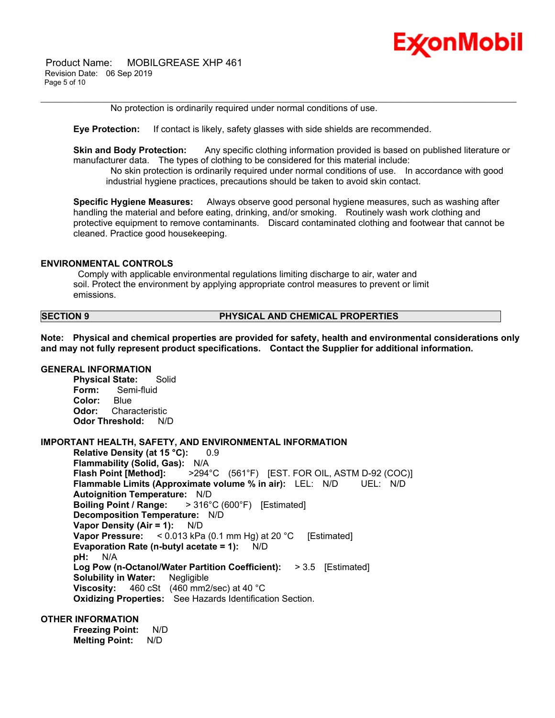

 Product Name: MOBILGREASE XHP 461 Revision Date: 06 Sep 2019 Page 5 of 10

No protection is ordinarily required under normal conditions of use.

**Eye Protection:** If contact is likely, safety glasses with side shields are recommended.

**Skin and Body Protection:** Any specific clothing information provided is based on published literature or manufacturer data. The types of clothing to be considered for this material include:

\_\_\_\_\_\_\_\_\_\_\_\_\_\_\_\_\_\_\_\_\_\_\_\_\_\_\_\_\_\_\_\_\_\_\_\_\_\_\_\_\_\_\_\_\_\_\_\_\_\_\_\_\_\_\_\_\_\_\_\_\_\_\_\_\_\_\_\_\_\_\_\_\_\_\_\_\_\_\_\_\_\_\_\_\_\_\_\_\_\_\_\_\_\_\_\_\_\_\_\_\_\_\_\_\_\_\_\_\_\_\_\_\_\_\_\_\_\_

 No skin protection is ordinarily required under normal conditions of use. In accordance with good industrial hygiene practices, precautions should be taken to avoid skin contact.

**Specific Hygiene Measures:** Always observe good personal hygiene measures, such as washing after handling the material and before eating, drinking, and/or smoking. Routinely wash work clothing and protective equipment to remove contaminants. Discard contaminated clothing and footwear that cannot be cleaned. Practice good housekeeping.

#### **ENVIRONMENTAL CONTROLS**

 Comply with applicable environmental regulations limiting discharge to air, water and soil. Protect the environment by applying appropriate control measures to prevent or limit emissions.

### **SECTION 9 PHYSICAL AND CHEMICAL PROPERTIES**

**Note: Physical and chemical properties are provided for safety, health and environmental considerations only and may not fully represent product specifications. Contact the Supplier for additional information.**

### **GENERAL INFORMATION**

**Physical State:** Solid **Form:** Semi-fluid **Color:** Blue **Odor:** Characteristic **Odor Threshold:** N/D

#### **IMPORTANT HEALTH, SAFETY, AND ENVIRONMENTAL INFORMATION**

**Relative Density (at 15 °C):** 0.9 **Flammability (Solid, Gas):** N/A **Flash Point [Method]:** >294°C (561°F) [EST. FOR OIL, ASTM D-92 (COC)] **Flammable Limits (Approximate volume % in air):** LEL: N/D UEL: N/D **Autoignition Temperature:** N/D **Boiling Point / Range:** > 316°C (600°F) [Estimated] **Decomposition Temperature:** N/D **Vapor Density (Air = 1):** N/D **Vapor Pressure:** < 0.013 kPa (0.1 mm Hg) at 20 °C [Estimated] **Evaporation Rate (n-butyl acetate = 1):** N/D **pH:** N/A **Log Pow (n-Octanol/Water Partition Coefficient):** > 3.5 [Estimated] **Solubility in Water:** Negligible **Viscosity:** 460 cSt (460 mm2/sec) at 40 °C **Oxidizing Properties:** See Hazards Identification Section.

# **OTHER INFORMATION**

**Freezing Point:** N/D **Melting Point:** N/D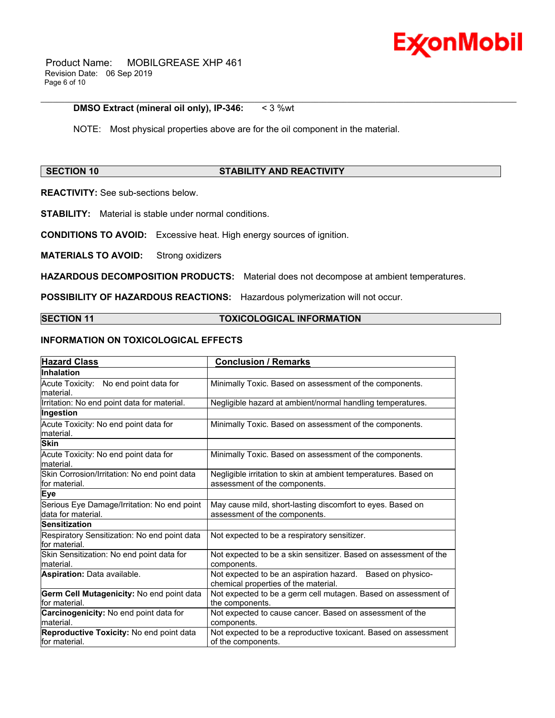

 Product Name: MOBILGREASE XHP 461 Revision Date: 06 Sep 2019 Page 6 of 10

### **DMSO Extract (mineral oil only), IP-346:** < 3 %wt

NOTE: Most physical properties above are for the oil component in the material.

# **SECTION 10 STABILITY AND REACTIVITY**

\_\_\_\_\_\_\_\_\_\_\_\_\_\_\_\_\_\_\_\_\_\_\_\_\_\_\_\_\_\_\_\_\_\_\_\_\_\_\_\_\_\_\_\_\_\_\_\_\_\_\_\_\_\_\_\_\_\_\_\_\_\_\_\_\_\_\_\_\_\_\_\_\_\_\_\_\_\_\_\_\_\_\_\_\_\_\_\_\_\_\_\_\_\_\_\_\_\_\_\_\_\_\_\_\_\_\_\_\_\_\_\_\_\_\_\_\_\_

**REACTIVITY:** See sub-sections below.

**STABILITY:** Material is stable under normal conditions.

**CONDITIONS TO AVOID:** Excessive heat. High energy sources of ignition.

**MATERIALS TO AVOID:** Strong oxidizers

**HAZARDOUS DECOMPOSITION PRODUCTS:** Material does not decompose at ambient temperatures.

**POSSIBILITY OF HAZARDOUS REACTIONS:** Hazardous polymerization will not occur.

# **SECTION 11 TOXICOLOGICAL INFORMATION**

# **INFORMATION ON TOXICOLOGICAL EFFECTS**

| <b>Hazard Class</b>                                               | <b>Conclusion / Remarks</b>                                                                        |
|-------------------------------------------------------------------|----------------------------------------------------------------------------------------------------|
| <b>Inhalation</b>                                                 |                                                                                                    |
| Acute Toxicity: No end point data for<br>lmaterial.               | Minimally Toxic. Based on assessment of the components.                                            |
| Irritation: No end point data for material.                       | Negligible hazard at ambient/normal handling temperatures.                                         |
| Ingestion                                                         |                                                                                                    |
| Acute Toxicity: No end point data for<br>material.                | Minimally Toxic. Based on assessment of the components.                                            |
| <b>Skin</b>                                                       |                                                                                                    |
| Acute Toxicity: No end point data for<br>lmaterial.               | Minimally Toxic. Based on assessment of the components.                                            |
| Skin Corrosion/Irritation: No end point data<br>for material.     | Negligible irritation to skin at ambient temperatures. Based on<br>assessment of the components.   |
| <b>Eye</b>                                                        |                                                                                                    |
| Serious Eye Damage/Irritation: No end point<br>data for material. | May cause mild, short-lasting discomfort to eyes. Based on<br>assessment of the components.        |
| <b>Sensitization</b>                                              |                                                                                                    |
| Respiratory Sensitization: No end point data<br>lfor material.    | Not expected to be a respiratory sensitizer.                                                       |
| Skin Sensitization: No end point data for<br>material.            | Not expected to be a skin sensitizer. Based on assessment of the<br>components.                    |
| Aspiration: Data available.                                       | Not expected to be an aspiration hazard. Based on physico-<br>chemical properties of the material. |
| Germ Cell Mutagenicity: No end point data<br>for material.        | Not expected to be a germ cell mutagen. Based on assessment of<br>the components.                  |
| Carcinogenicity: No end point data for<br>material.               | Not expected to cause cancer. Based on assessment of the<br>components.                            |
| Reproductive Toxicity: No end point data<br>for material.         | Not expected to be a reproductive toxicant. Based on assessment<br>of the components.              |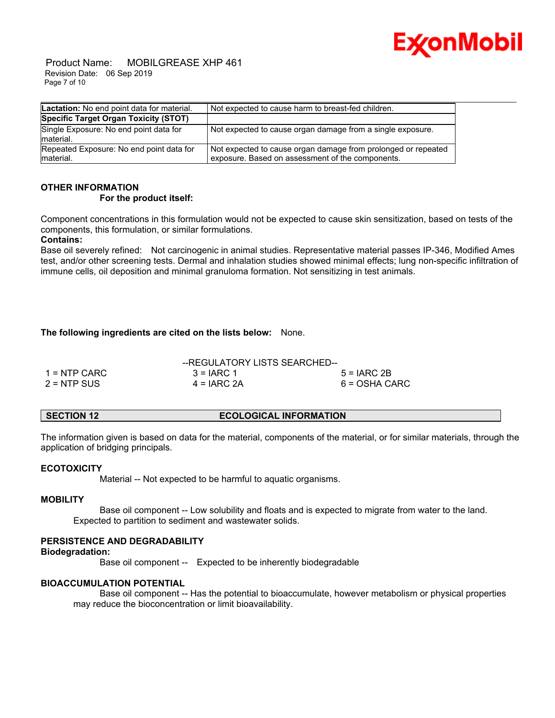

 Product Name: MOBILGREASE XHP 461 Revision Date: 06 Sep 2019 Page 7 of 10

| Lactation: No end point data for material.            | Not expected to cause harm to breast-fed children.                                                                |
|-------------------------------------------------------|-------------------------------------------------------------------------------------------------------------------|
| Specific Target Organ Toxicity (STOT)                 |                                                                                                                   |
| Single Exposure: No end point data for<br>material.   | Not expected to cause organ damage from a single exposure.                                                        |
| Repeated Exposure: No end point data for<br>material. | Not expected to cause organ damage from prolonged or repeated<br>exposure. Based on assessment of the components. |

# **OTHER INFORMATION**

# **For the product itself:**

Component concentrations in this formulation would not be expected to cause skin sensitization, based on tests of the components, this formulation, or similar formulations.

# **Contains:**

Base oil severely refined: Not carcinogenic in animal studies. Representative material passes IP-346, Modified Ames test, and/or other screening tests. Dermal and inhalation studies showed minimal effects; lung non-specific infiltration of immune cells, oil deposition and minimal granuloma formation. Not sensitizing in test animals.

# **The following ingredients are cited on the lists below:** None.

| $1 =$ NTP CARC | $3 = IARC 1$  | $5 = IARC 2B$ |
|----------------|---------------|---------------|
| 2 = NTP SUS    | $4 = IARC 2A$ | 6 = OSHA CARC |

## **SECTION 12 ECOLOGICAL INFORMATION**

The information given is based on data for the material, components of the material, or for similar materials, through the application of bridging principals.

# **ECOTOXICITY**

Material -- Not expected to be harmful to aquatic organisms.

#### **MOBILITY**

 Base oil component -- Low solubility and floats and is expected to migrate from water to the land. Expected to partition to sediment and wastewater solids.

# **PERSISTENCE AND DEGRADABILITY**

# **Biodegradation:**

Base oil component -- Expected to be inherently biodegradable

# **BIOACCUMULATION POTENTIAL**

 Base oil component -- Has the potential to bioaccumulate, however metabolism or physical properties may reduce the bioconcentration or limit bioavailability.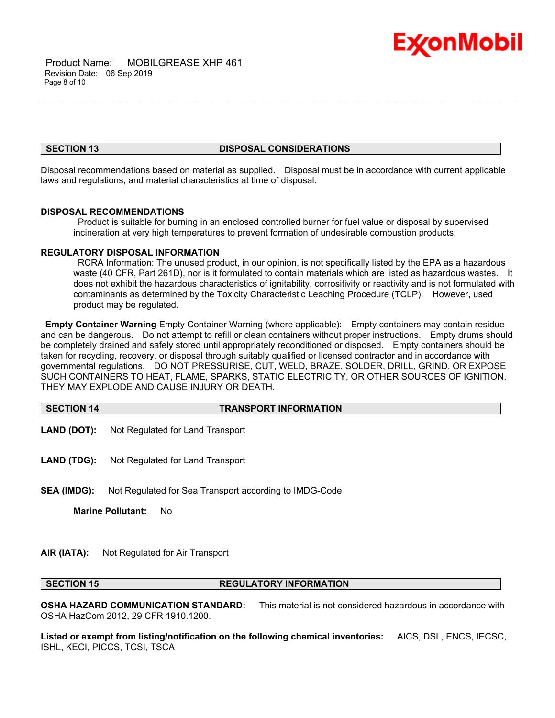

 Product Name: MOBILGREASE XHP 461 Revision Date: 06 Sep 2019 Page 8 of 10

#### **SECTION 13 DISPOSAL CONSIDERATIONS**

\_\_\_\_\_\_\_\_\_\_\_\_\_\_\_\_\_\_\_\_\_\_\_\_\_\_\_\_\_\_\_\_\_\_\_\_\_\_\_\_\_\_\_\_\_\_\_\_\_\_\_\_\_\_\_\_\_\_\_\_\_\_\_\_\_\_\_\_\_\_\_\_\_\_\_\_\_\_\_\_\_\_\_\_\_\_\_\_\_\_\_\_\_\_\_\_\_\_\_\_\_\_\_\_\_\_\_\_\_\_\_\_\_\_\_\_\_\_

Disposal recommendations based on material as supplied. Disposal must be in accordance with current applicable laws and regulations, and material characteristics at time of disposal.

### **DISPOSAL RECOMMENDATIONS**

 Product is suitable for burning in an enclosed controlled burner for fuel value or disposal by supervised incineration at very high temperatures to prevent formation of undesirable combustion products.

#### **REGULATORY DISPOSAL INFORMATION**

 RCRA Information: The unused product, in our opinion, is not specifically listed by the EPA as a hazardous waste (40 CFR, Part 261D), nor is it formulated to contain materials which are listed as hazardous wastes. It does not exhibit the hazardous characteristics of ignitability, corrositivity or reactivity and is not formulated with contaminants as determined by the Toxicity Characteristic Leaching Procedure (TCLP). However, used product may be regulated.

**Empty Container Warning** Empty Container Warning (where applicable): Empty containers may contain residue and can be dangerous. Do not attempt to refill or clean containers without proper instructions. Empty drums should be completely drained and safely stored until appropriately reconditioned or disposed. Empty containers should be taken for recycling, recovery, or disposal through suitably qualified or licensed contractor and in accordance with governmental regulations. DO NOT PRESSURISE, CUT, WELD, BRAZE, SOLDER, DRILL, GRIND, OR EXPOSE SUCH CONTAINERS TO HEAT, FLAME, SPARKS, STATIC ELECTRICITY, OR OTHER SOURCES OF IGNITION. THEY MAY EXPLODE AND CAUSE INJURY OR DEATH.

# **SECTION 14 TRANSPORT INFORMATION**

- **LAND (DOT):** Not Regulated for Land Transport
- **LAND (TDG):** Not Regulated for Land Transport
- **SEA (IMDG):** Not Regulated for Sea Transport according to IMDG-Code

**Marine Pollutant:** No

# **AIR (IATA):** Not Regulated for Air Transport

# **SECTION 15 REGULATORY INFORMATION**

**OSHA HAZARD COMMUNICATION STANDARD:** This material is not considered hazardous in accordance with OSHA HazCom 2012, 29 CFR 1910.1200.

**Listed or exempt from listing/notification on the following chemical inventories:** AICS, DSL, ENCS, IECSC, ISHL, KECI, PICCS, TCSI, TSCA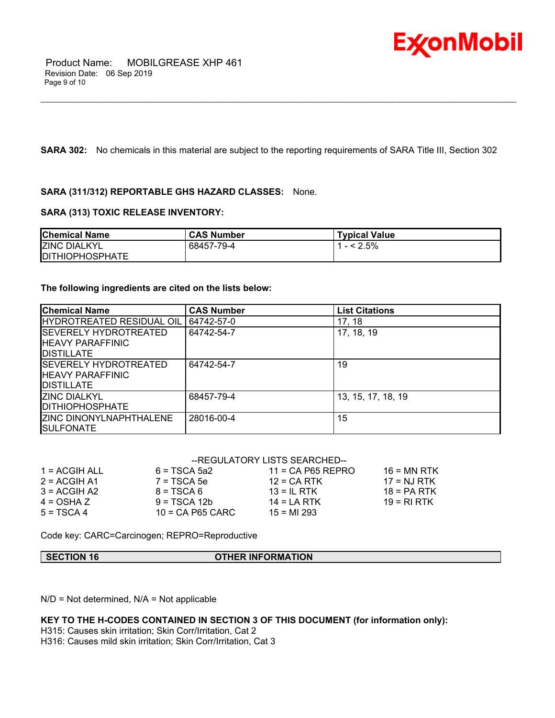

**SARA 302:** No chemicals in this material are subject to the reporting requirements of SARA Title III, Section 302

\_\_\_\_\_\_\_\_\_\_\_\_\_\_\_\_\_\_\_\_\_\_\_\_\_\_\_\_\_\_\_\_\_\_\_\_\_\_\_\_\_\_\_\_\_\_\_\_\_\_\_\_\_\_\_\_\_\_\_\_\_\_\_\_\_\_\_\_\_\_\_\_\_\_\_\_\_\_\_\_\_\_\_\_\_\_\_\_\_\_\_\_\_\_\_\_\_\_\_\_\_\_\_\_\_\_\_\_\_\_\_\_\_\_\_\_\_\_

# **SARA (311/312) REPORTABLE GHS HAZARD CLASSES:** None.

# **SARA (313) TOXIC RELEASE INVENTORY:**

| <b>Chemical Name</b>   | <b>CAS Number</b> | <b>Typical Value</b> |
|------------------------|-------------------|----------------------|
| <b>ZINC DIALKYL</b>    | 68457-79-4        | $- < 2.5\%$          |
| <b>DITHIOPHOSPHATE</b> |                   |                      |

# **The following ingredients are cited on the lists below:**

| <b>Chemical Name</b>                                                            | <b>CAS Number</b> | <b>List Citations</b> |
|---------------------------------------------------------------------------------|-------------------|-----------------------|
| <b>IHYDROTREATED RESIDUAL OIL</b>                                               | 64742-57-0        | 17, 18                |
| ISEVERELY HYDROTREATED<br><b>IHEAVY PARAFFINIC</b><br><b>IDISTILLATE</b>        | 64742-54-7        | 17, 18, 19            |
| <b>ISEVERELY HYDROTREATED</b><br><b>IHEAVY PARAFFINIC</b><br><b>IDISTILLATE</b> | 64742-54-7        | 19                    |
| <b>IZINC DIALKYL</b><br><b>IDITHIOPHOSPHATE</b>                                 | 68457-79-4        | 13, 15, 17, 18, 19    |
| <b>IZINC DINONYLNAPHTHALENE</b><br><b>ISULFONATE</b>                            | 28016-00-4        | 15                    |

# --REGULATORY LISTS SEARCHED--

| $1 = ACGIH ALL$ | $6 = TSCA 5a2$   | $11$ = CA P65 REPRO | $16 = MN$ RTK |
|-----------------|------------------|---------------------|---------------|
| $2 = ACGIH A1$  | $7 = TSCA5e$     | $12$ = CA RTK       | $17 = NJ RTK$ |
| $3 = ACGIH A2$  | $8 = TSCA6$      | $13 = IL$ RTK       | $18 = PA RTK$ |
| $4 = OSHA Z$    | $9 = TSCA 12b$   | $14 = LA RTK$       | 19 = RI RTK   |
| $5 = TSCA4$     | 10 = CA P65 CARC | $15 = M1 293$       |               |
|                 |                  |                     |               |

Code key: CARC=Carcinogen; REPRO=Reproductive

# **SECTION 16 OTHER INFORMATION**

N/D = Not determined, N/A = Not applicable

**KEY TO THE H-CODES CONTAINED IN SECTION 3 OF THIS DOCUMENT (for information only):**

H315: Causes skin irritation; Skin Corr/Irritation, Cat 2

H316: Causes mild skin irritation; Skin Corr/Irritation, Cat 3